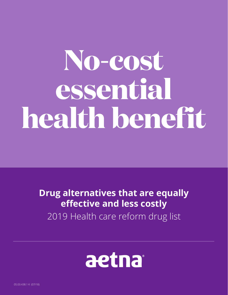## **No-cost essential health benefit**

**Drug alternatives that are equally effective and less costly** 2019 Health care reform drug list



05.03.438.1 K (07/18)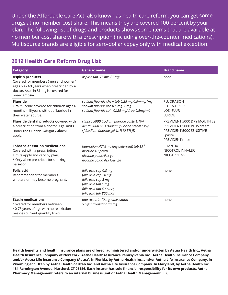Under the Affordable Care Act, also known as health care reform, you can get some drugs at no member cost share. This means they are covered 100 percent by your plan. The following list of drugs and products shows some items that are available at no member cost share with a prescription (including over-the-counter medications). Multisource brands are eligible for zero-dollar copay only with medical exception.

## **2019 Health Care Reform Drug List**

| <b>Category</b>                                                                                                                                                    | <b>Generic name</b>                                                                                                                             | <b>Brand name</b>                                                                                                        |
|--------------------------------------------------------------------------------------------------------------------------------------------------------------------|-------------------------------------------------------------------------------------------------------------------------------------------------|--------------------------------------------------------------------------------------------------------------------------|
| <b>Aspirin products</b><br>Covered for members (men and women)<br>ages 50 - 69 years when prescribed by a<br>doctor. Aspirin 81 mg is covered for<br>preeclampsia. | aspirin tab 75 mg, 81 mg                                                                                                                        | none                                                                                                                     |
| <b>Fluoride</b><br>Oral fluoride covered for children ages 6<br>months - 16 years without fluoride in<br>their water source.                                       | sodium fluoride chew tab 0.25 mg, 0.5mmg, 1mg<br>sodium fluoride tab 0.5 mg, 1 mg<br>sodium fluoride soln 0.125 mg/drop 0.5mg/mL                | <b>FLUORABON</b><br><b>FLURA-DROPS</b><br>LOZI-FLUR<br><b>LURIDE</b>                                                     |
| Fluoride dental products Covered with<br>a prescription from a doctor. Age limits<br>under the fluoride category above<br>apply.                                   | clinpro 5000 (sodium fluoride paste 1.1%)<br>denta 5000 plus (sodium fluoride cream1.1%)<br>sf (sodium fluoride gel 1.1% [0.5% f])              | PREVIDENT 5000 DRY MOUTH gel<br>PREVIDENT 5000 PLUS cream<br>PREVIDENT 5000 SENSITIVE<br>paste<br><b>PREVIDENT rinse</b> |
| <b>Tobacco-cessation medications</b><br>Covered with a prescription.<br>Limits apply and vary by plan.<br>* Only when prescribed for smoking<br>cessation.         | bupropion HCl (smoking deterrent) tab $SR^*$<br>nicotine TD patch<br>nicotine polacrilex gum<br>nicotine polacrilex lozenge                     | <b>CHANTIX</b><br>NICOTROL INHALER<br>NICOTROL NS                                                                        |
| <b>Folic acid</b><br>Recommended for members<br>who are or may become pregnant.                                                                                    | folic acid cap 0.8 mg<br>folic acid cap 20 mg<br>folic acid cap 5 mg<br>folic acid tab 1 mg<br>folic acid tab 400 mcg<br>folic acid tab 800 mcg | none                                                                                                                     |
| <b>Statin medications</b><br>Covered for members between<br>40-75 years of age with no restriction<br>besides current quantity limits.                             | atorvastatin 10 mg simvastatin<br>5 mg simvastatin 10 mg                                                                                        | none                                                                                                                     |

**Health benefits and health insurance plans are offered, administered and/or underwritten by Aetna Health Inc., Aetna Health Insurance Company of New York, Aetna HealthAssurance Pennsylvania Inc., Aetna Health Insurance Company and/or Aetna Life Insurance Company (Aetna). In Florida, by Aetna Health Inc. and/or Aetna Life Insurance Company. In Wyoming and Utah by Aetna Health of Utah Inc. and Aetna Life Insurance Company. In Maryland, by Aetna Health Inc., 151 Farmington Avenue, Hartford, CT 06156. Each insurer has sole financial responsibility for its own products. Aetna Pharmacy Management refers to an internal business unit of Aetna Health Management, LLC.**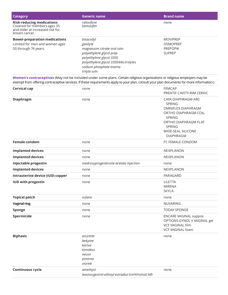| Category                                                                                                             | <b>Generic name</b>                                                                                                                                                                             | <b>Brand name</b>                                                      |
|----------------------------------------------------------------------------------------------------------------------|-------------------------------------------------------------------------------------------------------------------------------------------------------------------------------------------------|------------------------------------------------------------------------|
| <b>Risk-reducing medications</b><br>Covered for members ages 35<br>and older at increased risk for<br>breast cancer. | raloxifene<br>tamoxifen                                                                                                                                                                         | none                                                                   |
| <b>Bowel-preparation medications</b><br>Limited for men and women ages<br>50 through 74 years.                       | bisacodyl<br>gavilyte<br>magnesium citrate oral soln<br>polyethylene glycol prep<br>polyethylene glycol 3350<br>polyethylene glycol 3350/electrolytes<br>sodium phosphate enema<br>trilyte soln | <b>MOVIPREP</b><br><b>OSMOPREP</b><br><b>PREPOPIK</b><br><b>SUPREP</b> |

Women's contraceptives (May not be included under some plans. Certain religious organizations or religious employers may be exempt from offering contraceptive services. If these requirements apply to your plan, consult your plan documents for more information.)

| <b>Cervical cap</b>              | none                                                                     | <b>FEMCAP</b><br>PRENTIF CAVITY-RIM CERVIC                                                                                                                                              |
|----------------------------------|--------------------------------------------------------------------------|-----------------------------------------------------------------------------------------------------------------------------------------------------------------------------------------|
| Diaphragm                        | none                                                                     | CAYA DIAPHRAGM ARC-<br><b>SPRING</b><br>OMNIFLEX DIAPHRAGM<br>ORTHO DIAPHRAGM COIL-<br>SPRING<br>ORTHO DIAPHRAGM FLAT<br><b>SPRING</b><br><b>WIDE-SEAL SILICONE</b><br><b>DIAPHRAGM</b> |
| <b>Female condom</b>             | none                                                                     | FC FEMALE CONDOM                                                                                                                                                                        |
| <b>Implanted devices</b>         | none                                                                     | NEXPLANON                                                                                                                                                                               |
| <b>Implanted devices</b>         | none                                                                     | <b>NEXPLANON</b>                                                                                                                                                                        |
| Injectable progestin             | medroxyprogesterone acetate injection                                    | none                                                                                                                                                                                    |
| <b>Implanted devices</b>         | none                                                                     | <b>NEXPLANON</b>                                                                                                                                                                        |
| Intrauterine device (IUD) copper | none                                                                     | PARAGARD                                                                                                                                                                                |
| <b>IUD with progestin</b>        | none                                                                     | <b>LILETTA</b><br><b>MIRENA</b><br><b>SKYLA</b>                                                                                                                                         |
| <b>Topical patch</b>             | xulane                                                                   | none                                                                                                                                                                                    |
| <b>Vaginal ring</b>              | none                                                                     | <b>NUVARING</b>                                                                                                                                                                         |
| <b>Sponge</b>                    | none                                                                     | <b>TODAY SPONGE</b>                                                                                                                                                                     |
| Spermicide                       | none                                                                     | <b>ENCARE VAGINAL suppos</b><br>OPTIONS GYNOL II VAGINAL gel<br><b>VCF VAGINAL film</b><br><b>VCF VAGINAL foam</b>                                                                      |
| <b>Biphasic</b>                  | azurette<br>bekyree<br>kariva<br>kimidess<br>necon<br>pimtrea<br>viorele | none                                                                                                                                                                                    |
| Continuous cycle                 | amethyst<br>levonorgestrel-ethinyl estradiol (continuous) tab            | none                                                                                                                                                                                    |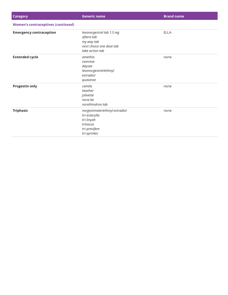| <b>Category</b>                           | <b>Generic name</b>                                                                                       | <b>Brand name</b> |
|-------------------------------------------|-----------------------------------------------------------------------------------------------------------|-------------------|
| <b>Women's contraceptives (continued)</b> |                                                                                                           |                   |
| <b>Emergency contraception</b>            | levonorgestrel tab 1.5 mg<br>aftera tab<br>my way tab<br>next choice one dose tab<br>take action tab      | <b>ELLA</b>       |
| <b>Extended cycle</b>                     | amethia<br>camrese<br>daysee<br>levonorgestrel/ethinyl<br>estradiol<br>quasense                           | none              |
| <b>Progestin only</b>                     | camila<br>heather<br>jolivette<br>nora-be<br>norethindron tab                                             | none              |
| <b>Triphasic</b>                          | norgestimate/ethinyl estradiol<br>tri-estarylla<br>tri-linyah<br>trinessa<br>tri-previfem<br>tri-sprintec | none              |